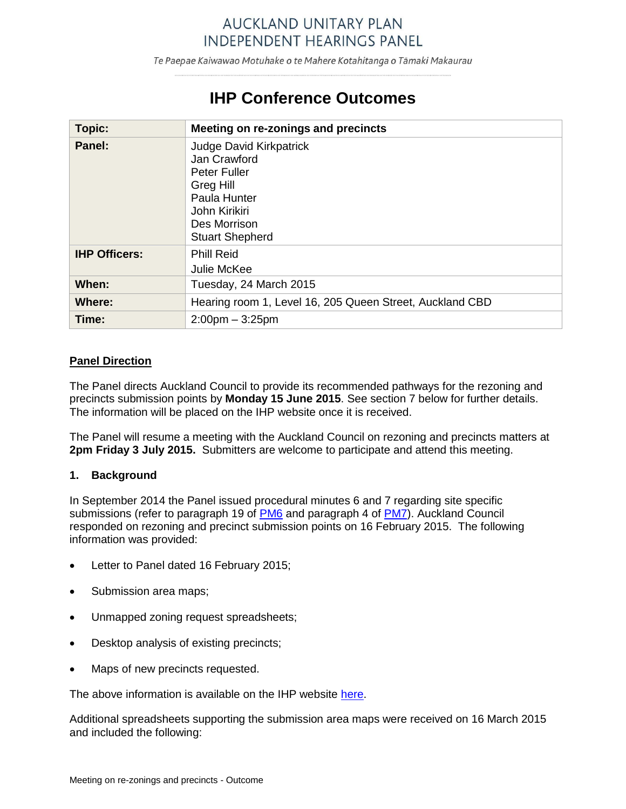# **AUCKLAND UNITARY PLAN INDEPENDENT HEARINGS PANEL**

Te Paepae Kaiwawao Motuhake o te Mahere Kotahitanga o Tāmaki Makaurau

# **IHP Conference Outcomes**

| Topic:               | Meeting on re-zonings and precincts                                                                                                                           |
|----------------------|---------------------------------------------------------------------------------------------------------------------------------------------------------------|
| Panel:               | <b>Judge David Kirkpatrick</b><br>Jan Crawford<br><b>Peter Fuller</b><br>Greg Hill<br>Paula Hunter<br>John Kirikiri<br>Des Morrison<br><b>Stuart Shepherd</b> |
| <b>IHP Officers:</b> | <b>Phill Reid</b><br>Julie McKee                                                                                                                              |
| When:                | Tuesday, 24 March 2015                                                                                                                                        |
| Where:               | Hearing room 1, Level 16, 205 Queen Street, Auckland CBD                                                                                                      |
| Time:                | $2:00$ pm $-3:25$ pm                                                                                                                                          |

# **Panel Direction**

The Panel directs Auckland Council to provide its recommended pathways for the rezoning and precincts submission points by **Monday 15 June 2015**. See section 7 below for further details. The information will be placed on the IHP website once it is received.

The Panel will resume a meeting with the Auckland Council on rezoning and precincts matters at **2pm Friday 3 July 2015.** Submitters are welcome to participate and attend this meeting.

### **1. Background**

In September 2014 the Panel issued procedural minutes 6 and 7 regarding site specific submissions (refer to paragraph 19 of [PM6](http://www.aupihp.govt.nz/documents/docs/aupihpproceduralminute6.pdf) and paragraph 4 of [PM7\)](http://www.aupihp.govt.nz/documents/docs/aupihpproceduralminute7.pdf). Auckland Council responded on rezoning and precinct submission points on 16 February 2015. The following information was provided:

- Letter to Panel dated 16 February 2015;
- Submission area maps;
- Unmapped zoning request spreadsheets;
- Desktop analysis of existing precincts;
- Maps of new precincts requested.

The above information is available on the IHP website [here.](http://www.aupihp.govt.nz/procedures/proceduralminute6.asp)

Additional spreadsheets supporting the submission area maps were received on 16 March 2015 and included the following: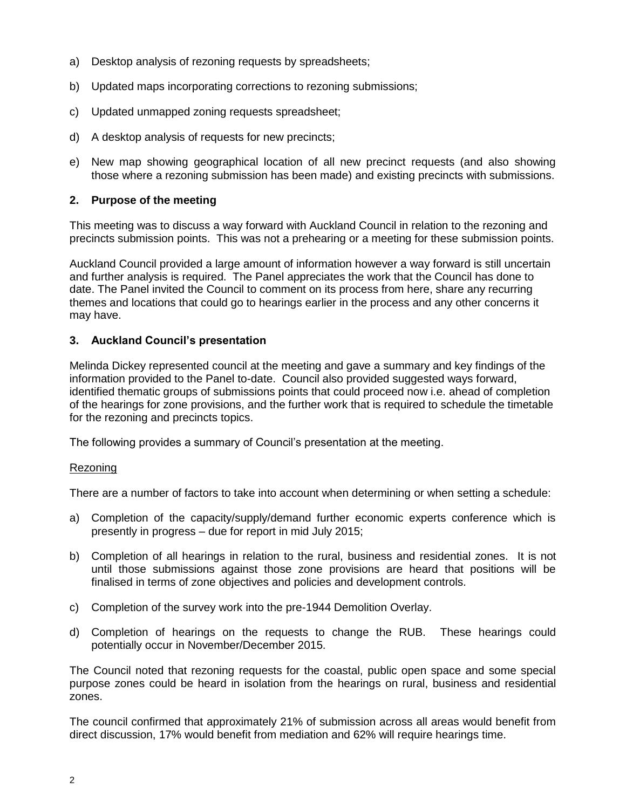- a) Desktop analysis of rezoning requests by spreadsheets;
- b) Updated maps incorporating corrections to rezoning submissions;
- c) Updated unmapped zoning requests spreadsheet;
- d) A desktop analysis of requests for new precincts;
- e) New map showing geographical location of all new precinct requests (and also showing those where a rezoning submission has been made) and existing precincts with submissions.

# **2. Purpose of the meeting**

This meeting was to discuss a way forward with Auckland Council in relation to the rezoning and precincts submission points. This was not a prehearing or a meeting for these submission points.

Auckland Council provided a large amount of information however a way forward is still uncertain and further analysis is required. The Panel appreciates the work that the Council has done to date. The Panel invited the Council to comment on its process from here, share any recurring themes and locations that could go to hearings earlier in the process and any other concerns it may have.

# **3. Auckland Council's presentation**

Melinda Dickey represented council at the meeting and gave a summary and key findings of the information provided to the Panel to-date. Council also provided suggested ways forward, identified thematic groups of submissions points that could proceed now i.e. ahead of completion of the hearings for zone provisions, and the further work that is required to schedule the timetable for the rezoning and precincts topics.

The following provides a summary of Council's presentation at the meeting.

### Rezoning

There are a number of factors to take into account when determining or when setting a schedule:

- a) Completion of the capacity/supply/demand further economic experts conference which is presently in progress – due for report in mid July 2015;
- b) Completion of all hearings in relation to the rural, business and residential zones. It is not until those submissions against those zone provisions are heard that positions will be finalised in terms of zone objectives and policies and development controls.
- c) Completion of the survey work into the pre-1944 Demolition Overlay.
- d) Completion of hearings on the requests to change the RUB. These hearings could potentially occur in November/December 2015.

The Council noted that rezoning requests for the coastal, public open space and some special purpose zones could be heard in isolation from the hearings on rural, business and residential zones.

The council confirmed that approximately 21% of submission across all areas would benefit from direct discussion, 17% would benefit from mediation and 62% will require hearings time.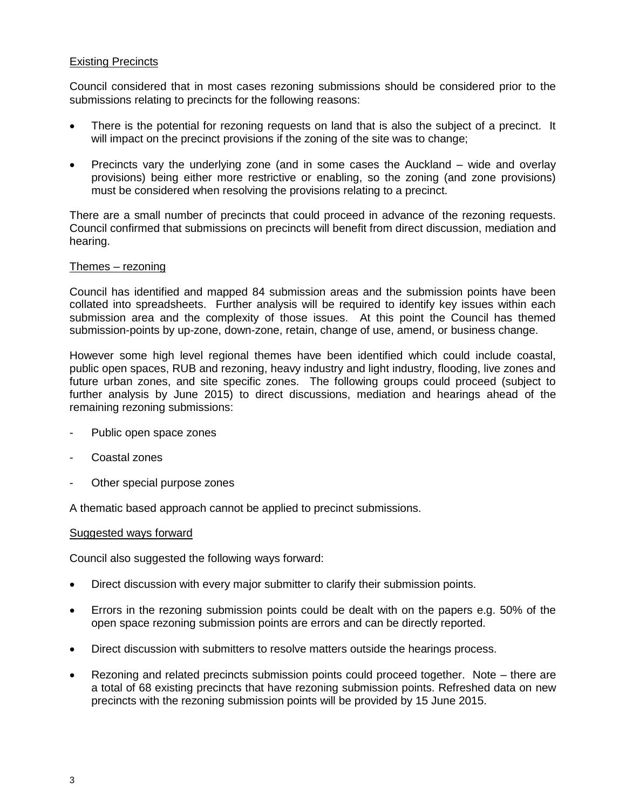# Existing Precincts

Council considered that in most cases rezoning submissions should be considered prior to the submissions relating to precincts for the following reasons:

- There is the potential for rezoning requests on land that is also the subject of a precinct. It will impact on the precinct provisions if the zoning of the site was to change;
- Precincts vary the underlying zone (and in some cases the Auckland wide and overlay provisions) being either more restrictive or enabling, so the zoning (and zone provisions) must be considered when resolving the provisions relating to a precinct.

There are a small number of precincts that could proceed in advance of the rezoning requests. Council confirmed that submissions on precincts will benefit from direct discussion, mediation and hearing.

### Themes – rezoning

Council has identified and mapped 84 submission areas and the submission points have been collated into spreadsheets. Further analysis will be required to identify key issues within each submission area and the complexity of those issues. At this point the Council has themed submission-points by up-zone, down-zone, retain, change of use, amend, or business change.

However some high level regional themes have been identified which could include coastal, public open spaces, RUB and rezoning, heavy industry and light industry, flooding, live zones and future urban zones, and site specific zones. The following groups could proceed (subject to further analysis by June 2015) to direct discussions, mediation and hearings ahead of the remaining rezoning submissions:

- Public open space zones
- Coastal zones
- Other special purpose zones

A thematic based approach cannot be applied to precinct submissions.

### Suggested ways forward

Council also suggested the following ways forward:

- Direct discussion with every major submitter to clarify their submission points.
- Errors in the rezoning submission points could be dealt with on the papers e.g. 50% of the open space rezoning submission points are errors and can be directly reported.
- Direct discussion with submitters to resolve matters outside the hearings process.
- Rezoning and related precincts submission points could proceed together. Note there are a total of 68 existing precincts that have rezoning submission points. Refreshed data on new precincts with the rezoning submission points will be provided by 15 June 2015.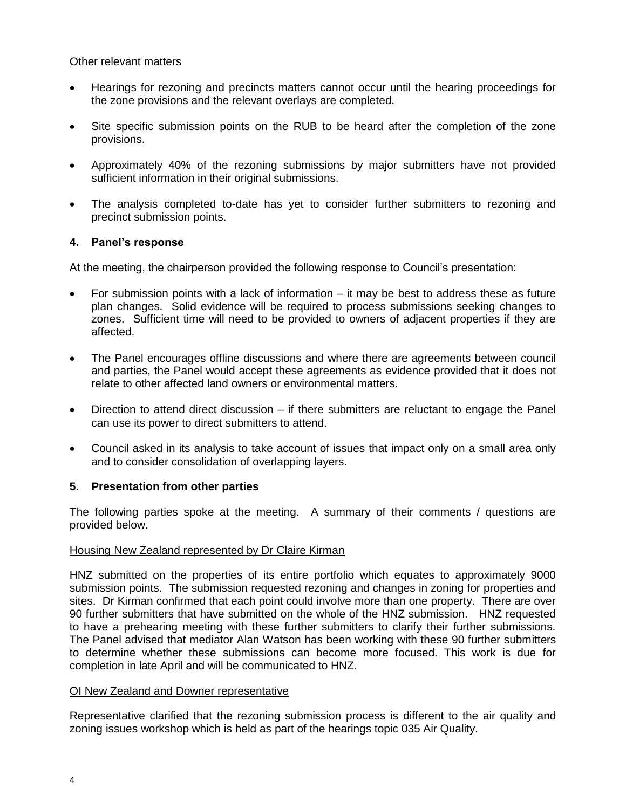# Other relevant matters

- Hearings for rezoning and precincts matters cannot occur until the hearing proceedings for the zone provisions and the relevant overlays are completed.
- Site specific submission points on the RUB to be heard after the completion of the zone provisions.
- Approximately 40% of the rezoning submissions by major submitters have not provided sufficient information in their original submissions.
- The analysis completed to-date has yet to consider further submitters to rezoning and precinct submission points.

# **4. Panel's response**

At the meeting, the chairperson provided the following response to Council's presentation:

- For submission points with a lack of information it may be best to address these as future plan changes. Solid evidence will be required to process submissions seeking changes to zones. Sufficient time will need to be provided to owners of adjacent properties if they are affected.
- The Panel encourages offline discussions and where there are agreements between council and parties, the Panel would accept these agreements as evidence provided that it does not relate to other affected land owners or environmental matters.
- Direction to attend direct discussion if there submitters are reluctant to engage the Panel can use its power to direct submitters to attend.
- Council asked in its analysis to take account of issues that impact only on a small area only and to consider consolidation of overlapping layers.

# **5. Presentation from other parties**

The following parties spoke at the meeting. A summary of their comments / questions are provided below.

### Housing New Zealand represented by Dr Claire Kirman

HNZ submitted on the properties of its entire portfolio which equates to approximately 9000 submission points. The submission requested rezoning and changes in zoning for properties and sites. Dr Kirman confirmed that each point could involve more than one property. There are over 90 further submitters that have submitted on the whole of the HNZ submission. HNZ requested to have a prehearing meeting with these further submitters to clarify their further submissions. The Panel advised that mediator Alan Watson has been working with these 90 further submitters to determine whether these submissions can become more focused. This work is due for completion in late April and will be communicated to HNZ.

## OI New Zealand and Downer representative

Representative clarified that the rezoning submission process is different to the air quality and zoning issues workshop which is held as part of the hearings topic 035 Air Quality.